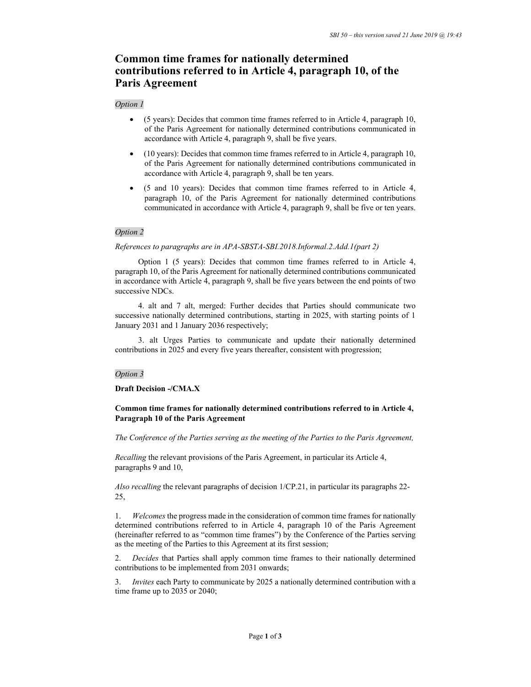# **Common time frames for nationally determined contributions referred to in Article 4, paragraph 10, of the Paris Agreement**

## *Option 1*

- (5 years): Decides that common time frames referred to in Article 4, paragraph 10, of the Paris Agreement for nationally determined contributions communicated in accordance with Article 4, paragraph 9, shall be five years.
- (10 years): Decides that common time frames referred to in Article 4, paragraph 10, of the Paris Agreement for nationally determined contributions communicated in accordance with Article 4, paragraph 9, shall be ten years.
- (5 and 10 years): Decides that common time frames referred to in Article 4, paragraph 10, of the Paris Agreement for nationally determined contributions communicated in accordance with Article 4, paragraph 9, shall be five or ten years.

## *Option 2*

#### *References to paragraphs are in APA-SBSTA-SBI.2018.Informal.2.Add.1(part 2)*

Option 1 (5 years): Decides that common time frames referred to in Article 4, paragraph 10, of the Paris Agreement for nationally determined contributions communicated in accordance with Article 4, paragraph 9, shall be five years between the end points of two successive NDCs.

4. alt and 7 alt, merged: Further decides that Parties should communicate two successive nationally determined contributions, starting in 2025, with starting points of 1 January 2031 and 1 January 2036 respectively;

3. alt Urges Parties to communicate and update their nationally determined contributions in 2025 and every five years thereafter, consistent with progression;

#### *Option 3*

#### **Draft Decision -/CMA.X**

## **Common time frames for nationally determined contributions referred to in Article 4, Paragraph 10 of the Paris Agreement**

*The Conference of the Parties serving as the meeting of the Parties to the Paris Agreement,* 

*Recalling* the relevant provisions of the Paris Agreement, in particular its Article 4, paragraphs 9 and 10,

*Also recalling* the relevant paragraphs of decision 1/CP.21, in particular its paragraphs 22- 25,

1. *Welcomes* the progress made in the consideration of common time frames for nationally determined contributions referred to in Article 4, paragraph 10 of the Paris Agreement (hereinafter referred to as "common time frames") by the Conference of the Parties serving as the meeting of the Parties to this Agreement at its first session;

2. *Decides* that Parties shall apply common time frames to their nationally determined contributions to be implemented from 2031 onwards;

3. *Invites* each Party to communicate by 2025 a nationally determined contribution with a time frame up to 2035 or 2040;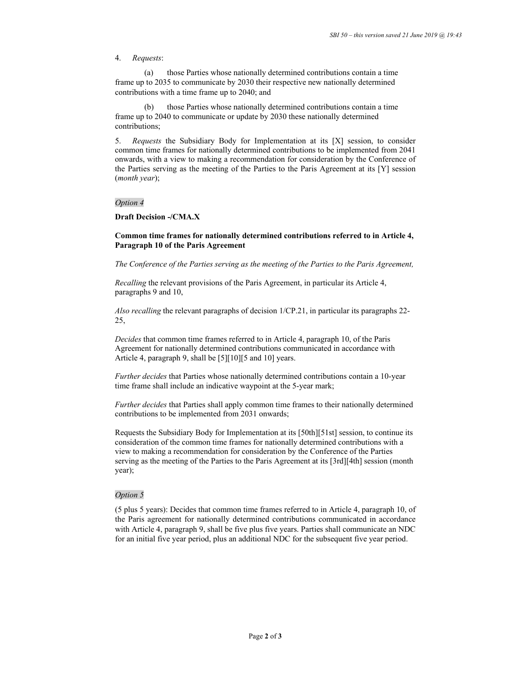## 4. *Requests*:

(a) those Parties whose nationally determined contributions contain a time frame up to 2035 to communicate by 2030 their respective new nationally determined contributions with a time frame up to 2040; and

(b) those Parties whose nationally determined contributions contain a time frame up to 2040 to communicate or update by 2030 these nationally determined contributions;

5. *Requests* the Subsidiary Body for Implementation at its [X] session, to consider common time frames for nationally determined contributions to be implemented from 2041 onwards, with a view to making a recommendation for consideration by the Conference of the Parties serving as the meeting of the Parties to the Paris Agreement at its [Y] session (*month year*);

#### *Option 4*

**Draft Decision -/CMA.X** 

### **Common time frames for nationally determined contributions referred to in Article 4, Paragraph 10 of the Paris Agreement**

*The Conference of the Parties serving as the meeting of the Parties to the Paris Agreement,* 

*Recalling* the relevant provisions of the Paris Agreement, in particular its Article 4, paragraphs 9 and 10,

*Also recalling* the relevant paragraphs of decision 1/CP.21, in particular its paragraphs 22- 25,

*Decides* that common time frames referred to in Article 4, paragraph 10, of the Paris Agreement for nationally determined contributions communicated in accordance with Article 4, paragraph 9, shall be [5][10][5 and 10] years.

*Further decides* that Parties whose nationally determined contributions contain a 10-year time frame shall include an indicative waypoint at the 5-year mark;

*Further decides* that Parties shall apply common time frames to their nationally determined contributions to be implemented from 2031 onwards;

Requests the Subsidiary Body for Implementation at its [50th][51st] session, to continue its consideration of the common time frames for nationally determined contributions with a view to making a recommendation for consideration by the Conference of the Parties serving as the meeting of the Parties to the Paris Agreement at its [3rd][4th] session (month year);

### *Option 5*

(5 plus 5 years): Decides that common time frames referred to in Article 4, paragraph 10, of the Paris agreement for nationally determined contributions communicated in accordance with Article 4, paragraph 9, shall be five plus five years. Parties shall communicate an NDC for an initial five year period, plus an additional NDC for the subsequent five year period.